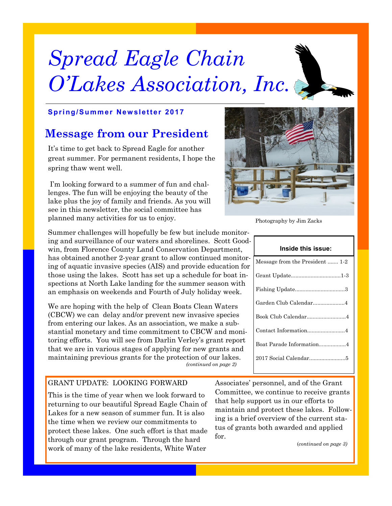# *Spread Eagle Chain O'Lakes Association, Inc.*



## **Message from our President**

It's time to get back to Spread Eagle for another great summer. For permanent residents, I hope the spring thaw went well.

I'm looking forward to a summer of fun and challenges. The fun will be enjoying the beauty of the lake plus the joy of family and friends. As you will see in this newsletter, the social committee has planned many activities for us to enjoy.

Summer challenges will hopefully be few but include monitoring and surveillance of our waters and shorelines. Scott Goodwin, from Florence County Land Conservation Department, has obtained another 2-year grant to allow continued monitoring of aquatic invasive species (AIS) and provide education for those using the lakes. Scott has set up a schedule for boat inspections at North Lake landing for the summer season with an emphasis on weekends and Fourth of July holiday week.

We are hoping with the help of Clean Boats Clean Waters (CBCW) we can delay and/or prevent new invasive species from entering our lakes. As an association, we make a substantial monetary and time commitment to CBCW and monitoring efforts. You will see from Darlin Verley's grant report that we are in various stages of applying for new grants and maintaining previous grants for the protection of our lakes. *(continued on page 2)*

## GRANT UPDATE: LOOKING FORWARD

This is the time of year when we look forward to returning to our beautiful Spread Eagle Chain of Lakes for a new season of summer fun. It is also the time when we review our commitments to protect these lakes. One such effort is that made through our grant program. Through the hard work of many of the lake residents, White Water

Associates' personnel, and of the Grant Committee, we continue to receive grants that help support us in our efforts to maintain and protect these lakes. Following is a brief overview of the current status of grants both awarded and applied for.

(*continued on page 3)*

## Photography by Jim Zacks

| Inside this issue:              |  |  |  |
|---------------------------------|--|--|--|
| Message from the President  1-2 |  |  |  |
|                                 |  |  |  |
|                                 |  |  |  |
| Garden Club Calendar4           |  |  |  |
| Book Club Calendar4             |  |  |  |
| Contact Information4            |  |  |  |
| Boat Parade Information4        |  |  |  |
|                                 |  |  |  |
|                                 |  |  |  |

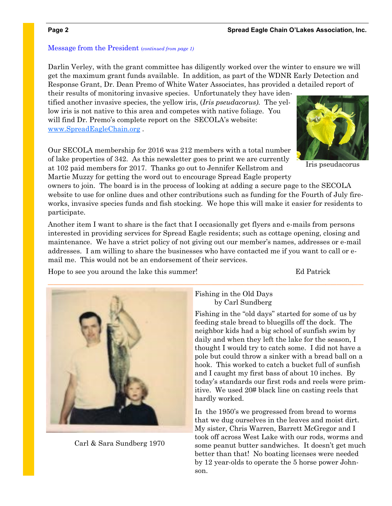## Message from the President (*continued from page 1)*

Darlin Verley, with the grant committee has diligently worked over the winter to ensure we will get the maximum grant funds available. In addition, as part of the WDNR Early Detection and Response Grant, Dr. Dean Premo of White Water Associates, has provided a detailed report of

their results of monitoring invasive species. Unfortunately they have identified another invasive species, the yellow iris, (*Iris pseudacorus).* The yellow iris is not native to this area and competes with native foliage. You will find Dr. Premo's complete report on the SECOLA's website: [www.SpreadEagleChain.org](file:///C:/Users/Debra/Documents/Newsletter) .

Our SECOLA membership for 2016 was 212 members with a total number of lake properties of 342. As this newsletter goes to print we are currently at 102 paid members for 2017. Thanks go out to Jennifer Kellstrom and Martie Muzzy for getting the word out to encourage Spread Eagle property

owners to join. The board is in the process of looking at adding a secure page to the SECOLA website to use for online dues and other contributions such as funding for the Fourth of July fireworks, invasive species funds and fish stocking. We hope this will make it easier for residents to participate.

Another item I want to share is the fact that I occasionally get flyers and e-mails from persons interested in providing services for Spread Eagle residents; such as cottage opening, closing and maintenance. We have a strict policy of not giving out our member's names, addresses or e-mail addresses. I am willing to share the businesses who have contacted me if you want to call or email me. This would not be an endorsement of their services.

Hope to see you around the lake this summer! Ed Patrick



Carl & Sara Sundberg 1970

## Fishing in the Old Days by Carl Sundberg

Fishing in the "old days" started for some of us by feeding stale bread to bluegills off the dock. The neighbor kids had a big school of sunfish swim by daily and when they left the lake for the season, I thought I would try to catch some. I did not have a pole but could throw a sinker with a bread ball on a hook. This worked to catch a bucket full of sunfish and I caught my first bass of about 10 inches. By today's standards our first rods and reels were primitive. We used 20# black line on casting reels that hardly worked.

In the 1950's we progressed from bread to worms that we dug ourselves in the leaves and moist dirt. My sister, Chris Warren, Barrett McGregor and I took off across West Lake with our rods, worms and some peanut butter sandwiches. It doesn't get much better than that! No boating licenses were needed by 12 year-olds to operate the 5 horse power Johnson.



### Iris pseudacorus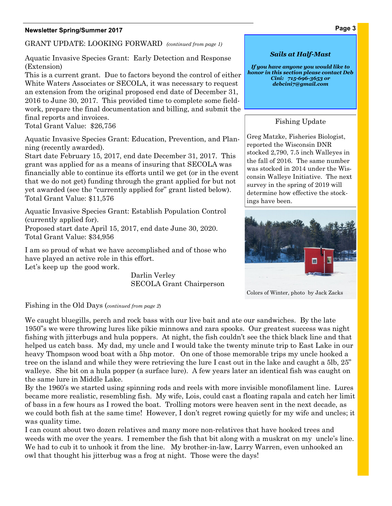## **Newsletter Spring/Summer 2017**

GRANT UPDATE: LOOKING FORWARD *(continued from page 1)*

Aquatic Invasive Species Grant: Early Detection and Response (Extension)

This is a current grant. Due to factors beyond the control of either White Waters Associates or SECOLA, it was necessary to request an extension from the original proposed end date of December 31, 2016 to June 30, 2017. This provided time to complete some fieldwork, prepare the final documentation and billing, and submit the final reports and invoices.

Total Grant Value: \$26,756

Aquatic Invasive Species Grant: Education, Prevention, and Planning (recently awarded).

Start date February 15, 2017, end date December 31, 2017. This grant was applied for as a means of insuring that SECOLA was financially able to continue its efforts until we get (or in the event that we do not get) funding through the grant applied for but not yet awarded (see the "currently applied for" grant listed below). Total Grant Value: \$11,576

Aquatic Invasive Species Grant: Establish Population Control (currently applied for).

Proposed start date April 15, 2017, end date June 30, 2020. Total Grant Value: \$34,956

I am so proud of what we have accomplished and of those who have played an active role in this effort. Let's keep up the good work.

> Darlin Verley SECOLA Grant Chairperson

## *Sails at Half-Mast*

*If you have anyone you would like to honor in this section please contact Deb Cini: 715-696-3653 or debcini7@gmail.com*

## Fishing Update

Greg Matzke, Fisheries Biologist, reported the Wisconsin DNR stocked 2,790, 7.5 inch Walleyes in the fall of 2016. The same number was stocked in 2014 under the Wisconsin Walleye Initiative. The next survey in the spring of 2019 will determine how effective the stockings have been.



Colors of Winter, photo by Jack Zacks

## Fishing in the Old Days (*continued from page 2*)

We caught bluegills, perch and rock bass with our live bait and ate our sandwiches. By the late 1950"s we were throwing lures like pikie minnows and zara spooks. Our greatest success was night fishing with jitterbugs and hula poppers. At night, the fish couldn't see the thick black line and that helped us catch bass. My dad, my uncle and I would take the twenty minute trip to East Lake in our heavy Thompson wood boat with a 5hp motor. On one of those memorable trips my uncle hooked a tree on the island and while they were retrieving the lure I cast out in the lake and caught a 5lb, 25" walleye. She bit on a hula popper (a surface lure). A few years later an identical fish was caught on the same lure in Middle Lake.

By the 1960's we started using spinning rods and reels with more invisible monofilament line. Lures became more realistic, resembling fish. My wife, Lois, could cast a floating rapala and catch her limit of bass in a few hours as I rowed the boat. Trolling motors were heaven sent in the next decade, as we could both fish at the same time! However, I don't regret rowing quietly for my wife and uncles; it was quality time.

I can count about two dozen relatives and many more non-relatives that have hooked trees and weeds with me over the years. I remember the fish that bit along with a muskrat on my uncle's line. We had to cub it to unhook it from the line. My brother-in-law, Larry Warren, even unhooked an owl that thought his jitterbug was a frog at night. Those were the days!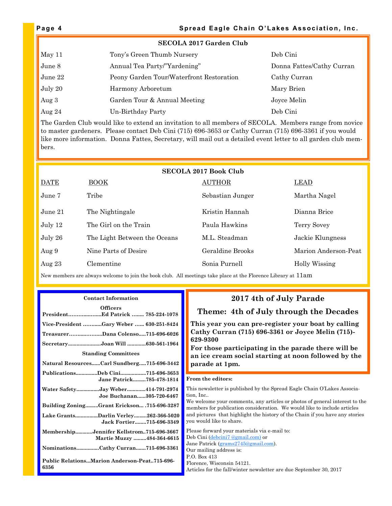| <b>SECOLA 2017 Garden Club</b> |                                          |                           |  |  |
|--------------------------------|------------------------------------------|---------------------------|--|--|
| May 11                         | Tony's Green Thumb Nursery               | Deb Cini                  |  |  |
| June 8                         | Annual Tea Party/"Yardening"             | Donna Fattes/Cathy Curran |  |  |
| June 22                        | Peony Garden Tour/Waterfront Restoration | Cathy Curran              |  |  |
| July 20                        | Harmony Arboretum                        | Mary Brien                |  |  |
| Aug $3$                        | Garden Tour & Annual Meeting             | Joyce Melin               |  |  |
| Aug $24$                       | Un-Birthday Party                        | Deb Cini                  |  |  |

The Garden Club would like to extend an invitation to all members of SECOLA. Members range from novice to master gardeners. Please contact Deb Cini (715) 696-3653 or Cathy Curran (715) 696-3361 if you would like more information. Donna Fattes, Secretary, will mail out a detailed event letter to all garden club members.

| <b>SECOLA 2017 Book Club</b> |                              |                  |                      |  |  |
|------------------------------|------------------------------|------------------|----------------------|--|--|
| <b>DATE</b>                  | $\overline{ \text{BOOK}}$    | <b>AUTHOR</b>    | LEAD                 |  |  |
| June 7                       | Tribe                        | Sebastian Junger | Martha Nagel         |  |  |
| June $21$                    | The Nightingale              | Kristin Hannah   | Dianna Brice         |  |  |
| July 12                      | The Girl on the Train        | Paula Hawkins    | Terry Sovey          |  |  |
| July 26                      | The Light Between the Oceans | M.L. Steadman    | Jackie Klungness     |  |  |
| Aug 9                        | Nine Parts of Desire         | Geraldine Brooks | Marion Anderson-Peat |  |  |
| Aug $23$                     | Clementine                   | Sonia Purnell    | Holly Wissing        |  |  |

New members are always welcome to join the book club. All meetings take place at the Florence Library at 11am

### **Contact Information**

| <b>Officers</b>                                                       |  |  |  |  |
|-----------------------------------------------------------------------|--|--|--|--|
| PresidentEd Patrick  785-224-1078                                     |  |  |  |  |
| Vice-President Gary Weber  630-251-8424                               |  |  |  |  |
| TreasurerDana Colenso715-696-6026                                     |  |  |  |  |
| SecretaryJoan Will 630-561-1964                                       |  |  |  |  |
| <b>Standing Committees</b>                                            |  |  |  |  |
| Natural ResourcesCarl Sundberg715-696-3442                            |  |  |  |  |
| PublicationsDeb Cini715-696-3653<br>Jane Patrick785-478-1814          |  |  |  |  |
| Water SafetyJay Weber414-791-2974<br>Joe Buchanan305-720-6467         |  |  |  |  |
| <b>Building ZoningGrant Erickson .715-696-3287</b>                    |  |  |  |  |
| Lake GrantsDarlin Verley262-366-5020<br>Jack Fortier715-696-3349      |  |  |  |  |
| MembershipJennifer Kellstrom715-696-3667<br>Martie Muzzy 484-364-6615 |  |  |  |  |
| NominationsCathy Curran715-696-3361                                   |  |  |  |  |
| <b>Public RelationsMarion Anderson-Peat715-696-</b><br>6356           |  |  |  |  |

## **2017 4th of July Parade**

## **Theme: 4th of July through the Decades**

**This year you can pre-register your boat by calling Cathy Curran (715) 696-3361 or Joyce Melin (715)- 629-9300** 

**For those participating in the parade there will be an ice cream social starting at noon followed by the parade at 1pm.** 

### **From the editors:**

This newsletter is published by the Spread Eagle Chain O'Lakes Association, Inc..

We welcome your comments, any articles or photos of general interest to the members for publication consideration. We would like to include articles and pictures that highlight the history of the Chain if you have any stories you would like to share.

Please forward your materials via e-mail to: Deb Cini [\(debcini7 @gmail.com\)](file:///C:/Users/Debra/Documents/Newsletter Spring 2017) or Jane Patrick [\(grams2745@gmail.com\)](file:///C:/Users/Debra/Documents/Newsletter Spring 2017). Our mailing address is: P.O. Box 413 Florence, Wisconsin 54121. Articles for the fall/winter newsletter are due September 30, 2017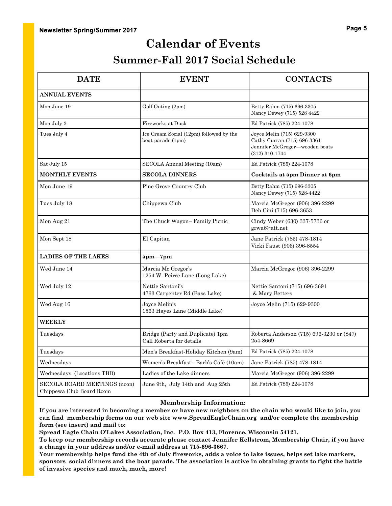## **Calendar of Events**

## **Summer-Fall 2017 Social Schedule**

| <b>DATE</b>                                              | <b>EVENT</b>                                                 | <b>CONTACTS</b>                                                                                               |
|----------------------------------------------------------|--------------------------------------------------------------|---------------------------------------------------------------------------------------------------------------|
| <b>ANNUAL EVENTS</b>                                     |                                                              |                                                                                                               |
| Mon June 19                                              | Golf Outing (2pm)                                            | Betty Rahm (715) 696-3305<br>Nancy Dewey (715) 528 4422                                                       |
| Mon July 3                                               | Fireworks at Dusk                                            | Ed Patrick (785) 224-1078                                                                                     |
| Tues July 4                                              | Ice Cream Social (12pm) followed by the<br>boat parade (1pm) | Joyce Melin (715) 629-9300<br>Cathy Curran (715) 696-3361<br>Jennifer McGregor-wooden boats<br>(312) 310-1744 |
| Sat July 15                                              | SECOLA Annual Meeting (10am)                                 | Ed Patrick (785) 224-1078                                                                                     |
| <b>MONTHLY EVENTS</b>                                    | <b>SECOLA DINNERS</b>                                        | Cocktails at 5pm Dinner at 6pm                                                                                |
| Mon June 19                                              | Pine Grove Country Club                                      | Betty Rahm (715) 696-3305<br>Nancy Dewey (715) 528-4422                                                       |
| Tues July 18                                             | Chippewa Club                                                | Marcia McGregor (906) 396-2299<br>Deb Cini (715) 696-3653                                                     |
| Mon Aug 21                                               | The Chuck Wagon-Family Picnic                                | Cindy Weber (630) 337-5736 or<br>grwa6@att.net                                                                |
| Mon Sept 18                                              | El Capitan                                                   | Jane Patrick (785) 478-1814<br>Vicki Faust (906) 396-8554                                                     |
| <b>LADIES OF THE LAKES</b>                               | $5pm-7pm$                                                    |                                                                                                               |
| Wed June 14                                              | Marcia Mc Gregor's<br>1254 W. Peirce Lane (Long Lake)        | Marcia McGregor (906) 396-2299                                                                                |
| Wed July 12                                              | Nettie Santoni's<br>4763 Carpenter Rd (Bass Lake)            | Nettie Santoni (715) 696-3691<br>& Mary Betters                                                               |
| Wed Aug 16                                               | Joyce Melin's<br>1563 Hayes Lane (Middle Lake)               | Joyce Melin (715) 629-9300                                                                                    |
| <b>WEEKLY</b>                                            |                                                              |                                                                                                               |
| Tuesdays                                                 | Bridge (Party and Duplicate) 1pm<br>Call Roberta for details | Roberta Anderson (715) 696-3230 or (847)<br>254-8669                                                          |
| Tuesdays                                                 | Men's Breakfast-Holiday Kitchen (9am)                        | Ed Patrick (785) 224-1078                                                                                     |
| Wednesdays                                               | Women's Breakfast-Barb's Café (10am)                         | Jane Patrick (785) 478-1814                                                                                   |
| Wednesdays (Locations TBD)                               | Ladies of the Lake dinners                                   | Marcia McGregor (906) 396-2299                                                                                |
| SECOLA BOARD MEETINGS (noon)<br>Chippewa Club Board Room | June 9th, July 14th and Aug 25th                             | Ed Patrick (785) 224-1078                                                                                     |

### **Membership Information:**

**If you are interested in becoming a member or have new neighbors on the chain who would like to join, you can find membership forms on our web site www.SpreadEagleChain.org and/or complete the membership form (see insert) and mail to:** 

**Spread Eagle Chain O'Lakes Association, Inc. P.O. Box 413, Florence, Wisconsin 54121.**

**To keep our membership records accurate please contact Jennifer Kellstrom, Membership Chair, if you have a change in your address and/or e-mail address at 715-696-3667.**

**Your membership helps fund the 4th of July fireworks, adds a voice to lake issues, helps set lake markers, sponsors social dinners and the boat parade. The association is active in obtaining grants to fight the battle of invasive species and much, much, more!**